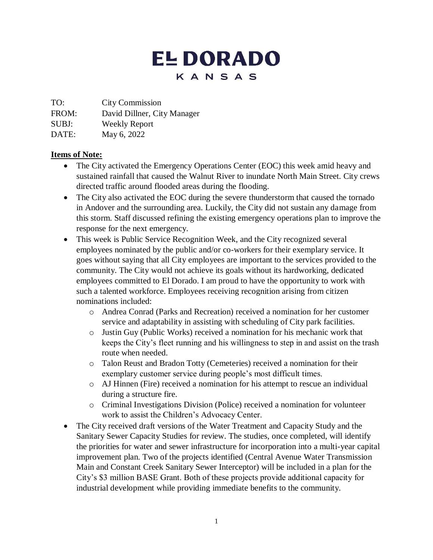## **EL DORADO** KANSAS

TO: City Commission

FROM: David Dillner, City Manager

SUBJ: Weekly Report

DATE: May 6, 2022

## **Items of Note:**

- The City activated the Emergency Operations Center (EOC) this week amid heavy and sustained rainfall that caused the Walnut River to inundate North Main Street. City crews directed traffic around flooded areas during the flooding.
- The City also activated the EOC during the severe thunderstorm that caused the tornado in Andover and the surrounding area. Luckily, the City did not sustain any damage from this storm. Staff discussed refining the existing emergency operations plan to improve the response for the next emergency.
- This week is Public Service Recognition Week, and the City recognized several employees nominated by the public and/or co-workers for their exemplary service. It goes without saying that all City employees are important to the services provided to the community. The City would not achieve its goals without its hardworking, dedicated employees committed to El Dorado. I am proud to have the opportunity to work with such a talented workforce. Employees receiving recognition arising from citizen nominations included:
	- o Andrea Conrad (Parks and Recreation) received a nomination for her customer service and adaptability in assisting with scheduling of City park facilities.
	- o Justin Guy (Public Works) received a nomination for his mechanic work that keeps the City's fleet running and his willingness to step in and assist on the trash route when needed.
	- o Talon Reust and Bradon Totty (Cemeteries) received a nomination for their exemplary customer service during people's most difficult times.
	- o AJ Hinnen (Fire) received a nomination for his attempt to rescue an individual during a structure fire.
	- o Criminal Investigations Division (Police) received a nomination for volunteer work to assist the Children's Advocacy Center.
- The City received draft versions of the Water Treatment and Capacity Study and the Sanitary Sewer Capacity Studies for review. The studies, once completed, will identify the priorities for water and sewer infrastructure for incorporation into a multi-year capital improvement plan. Two of the projects identified (Central Avenue Water Transmission Main and Constant Creek Sanitary Sewer Interceptor) will be included in a plan for the City's \$3 million BASE Grant. Both of these projects provide additional capacity for industrial development while providing immediate benefits to the community.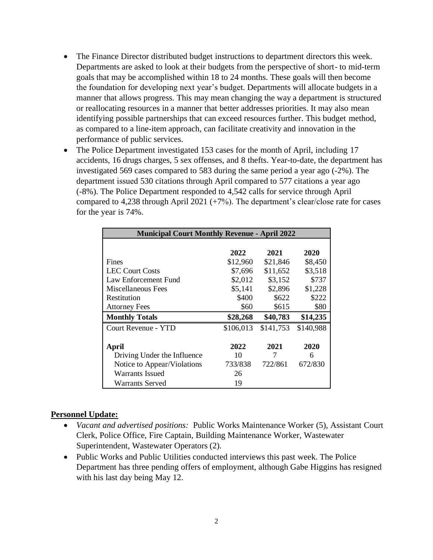- The Finance Director distributed budget instructions to department directors this week. Departments are asked to look at their budgets from the perspective of short- to mid-term goals that may be accomplished within 18 to 24 months. These goals will then become the foundation for developing next year's budget. Departments will allocate budgets in a manner that allows progress. This may mean changing the way a department is structured or reallocating resources in a manner that better addresses priorities. It may also mean identifying possible partnerships that can exceed resources further. This budget method, as compared to a line-item approach, can facilitate creativity and innovation in the performance of public services.
- The Police Department investigated 153 cases for the month of April, including 17 accidents, 16 drugs charges, 5 sex offenses, and 8 thefts. Year-to-date, the department has investigated 569 cases compared to 583 during the same period a year ago (-2%). The department issued 530 citations through April compared to 577 citations a year ago (-8%). The Police Department responded to 4,542 calls for service through April compared to 4,238 through April 2021 (+7%). The department's clear/close rate for cases for the year is 74%.

| <b>Municipal Court Monthly Revenue - April 2022</b> |           |           |           |
|-----------------------------------------------------|-----------|-----------|-----------|
|                                                     |           |           |           |
|                                                     | 2022      | 2021      | 2020      |
| Fines                                               | \$12,960  | \$21,846  | \$8,450   |
| <b>LEC Court Costs</b>                              | \$7,696   | \$11,652  | \$3,518   |
| Law Enforcement Fund                                | \$2,012   | \$3,152   | \$737     |
| Miscellaneous Fees                                  | \$5,141   | \$2,896   | \$1,228   |
| Restitution                                         | \$400     | \$622     | \$222     |
| <b>Attorney Fees</b>                                | \$60      | \$615     | \$80      |
| <b>Monthly Totals</b>                               | \$28,268  | \$40,783  | \$14,235  |
| Court Revenue - YTD                                 | \$106,013 | \$141,753 | \$140,988 |
|                                                     |           |           |           |
| April                                               | 2022      | 2021      | 2020      |
| Driving Under the Influence                         | 10        | 7         | 6         |
| Notice to Appear/Violations                         | 733/838   | 722/861   | 672/830   |
| Warrants Issued                                     | 26        |           |           |
| <b>Warrants Served</b>                              | 19        |           |           |

## **Personnel Update:**

- *Vacant and advertised positions:* Public Works Maintenance Worker (5), Assistant Court Clerk, Police Office, Fire Captain, Building Maintenance Worker, Wastewater Superintendent, Wastewater Operators (2).
- Public Works and Public Utilities conducted interviews this past week. The Police Department has three pending offers of employment, although Gabe Higgins has resigned with his last day being May 12.